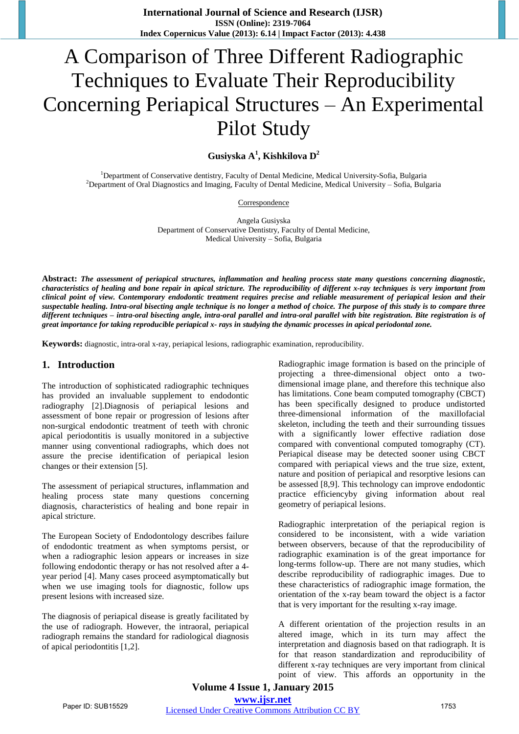# A Comparison of Three Different Radiographic Techniques to Evaluate Their Reproducibility Concerning Periapical Structures – An Experimental Pilot Study

**Gusiyska A 1 , Kishkilova D 2**

<sup>1</sup>Department of Conservative dentistry, Faculty of Dental Medicine, Medical University-Sofia, Bulgaria <sup>2</sup>Department of Oral Diagnostics and Imaging, Faculty of Dental Medicine, Medical University - Sofia, Bulgaria

Correspondence

Angela Gusiyska Department of Conservative Dentistry, Faculty of Dental Medicine, Medical University – Sofia, Bulgaria

Abstract: The assessment of periapical structures, inflammation and healing process state many questions concerning diagnostic, characteristics of healing and bone repair in apical stricture. The reproducibility of different x-ray techniques is very important from clinical point of view. Contemporary endodontic treatment requires precise and reliable measurement of periapical lesion and their suspectable healing. Intra-oral bisecting angle technique is no longer a method of choice. The purpose of this study is to compare three different techniques - intra-oral bisecting angle, intra-oral parallel and intra-oral parallel with bite registration. Bite registration is of great importance for taking reproducible periapical x- rays in studying the dynamic processes in apical periodontal zone.

**Keywords:** diagnostic, intra-oral x-ray, periapical lesions, radiographic examination, reproducibility.

#### **1. Introduction**

The introduction of sophisticated radiographic techniques has provided an invaluable supplement to endodontic radiography [2].Diagnosis of periapical lesions and assessment of bone repair or progression of lesions after non-surgical endodontic treatment of teeth with chronic apical periodontitis is usually monitored in a subjective manner using conventional radiographs, which does not assure the precise identification of periapical lesion changes or their extension [5].

The assessment of periapical structures, inflammation and healing process state many questions concerning diagnosis, characteristics of healing and bone repair in apical stricture.

The European Society of Endodontology describes failure of endodontic treatment as when symptoms persist, or when a radiographic lesion appears or increases in size following endodontic therapy or has not resolved after a 4 year period [4]. Many cases proceed asymptomatically but when we use imaging tools for diagnostic, follow ups present lesions with increased size.

The diagnosis of periapical disease is greatly facilitated by the use of radiograph. However, the intraoral, periapical radiograph remains the standard for radiological diagnosis of apical periodontitis [1,2].

Radiographic image formation is based on the principle of projecting a three-dimensional object onto a twodimensional image plane, and therefore this technique also has limitations. Cone beam computed tomography (CBCT) has been specifically designed to produce undistorted three-dimensional information of the maxillofacial skeleton, including the teeth and their surrounding tissues with a significantly lower effective radiation dose compared with conventional computed tomography (CT). Periapical disease may be detected sooner using CBCT compared with periapical views and the true size, extent, nature and position of periapical and resorptive lesions can be assessed [8,9]. This technology can improve endodontic practice efficiencyby giving information about real geometry of periapical lesions.

Radiographic interpretation of the periapical region is considered to be inconsistent, with a wide variation between observers, because of that the reproducibility of radiographic examination is of the great importance for long-terms follow-up. There are not many studies, which describe reproducibility of radiographic images. Due to these characteristics of radiographic image formation, the orientation of the x-ray beam toward the object is a factor that is very important for the resulting x-ray image.

A different orientation of the projection results in an altered image, which in its turn may affect the interpretation and diagnosis based on that radiograph. It is for that reason standardization and reproducibility of different x-ray techniques are very important from clinical point of view. This affords an opportunity in the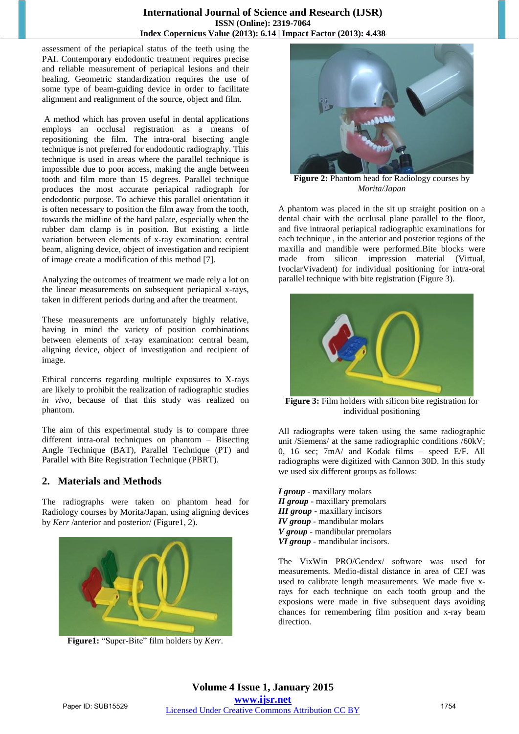#### **International Journal of Science and Research (IJSR) ISSN (Online): 2319-7064 Index Copernicus Value (2013): 6.14 | Impact Factor (2013): 4.438**

assessment of the periapical status of the teeth using the PAI. Contemporary endodontic treatment requires precise and reliable measurement of periapical lesions and their healing. Geometric standardization requires the use of some type of beam-guiding device in order to facilitate alignment and realignment of the source, object and film.

A method which has proven useful in dental applications employs an occlusal registration as a means of repositioning the film. The intra-oral bisecting angle technique is not preferred for endodontic radiography. This technique is used in areas where the parallel technique is impossible due to poor access, making the angle between tooth and film more than 15 degrees. Parallel technique produces the most accurate periapical radiograph for endodontic purpose. To achieve this parallel orientation it is often necessary to position the film away from the tooth, towards the midline of the hard palate, especially when the rubber dam clamp is in position. But existing a little variation between elements of x-ray examination: central beam, aligning device, object of investigation and recipient of image create a modification of this method [7].

Analyzing the outcomes of treatment we made rely a lot on the linear measurements on subsequent periapical x-rays, taken in different periods during and after the treatment.

These measurements are unfortunately highly relative, having in mind the variety of position combinations between elements of x-ray examination: central beam, aligning device, object of investigation and recipient of image.

Ethical concerns regarding multiple exposures to X-rays are likely to prohibit the realization of radiographic studies *in vivo*, because of that this study was realized on phantom.

The aim of this experimental study is to compare three different intra-oral techniques on phantom – Bisecting Angle Technique (BAT), Parallel Technique (PT) and Parallel with Bite Registration Technique (PBRT).

# **2. Materials and Methods**

The radiographs were taken on phantom head for Radiology courses by Morita/Japan, using aligning devices by *Kerr* /anterior and posterior/ (Figure1, 2).



**Figure1:** "Super-Bite" film holders by *Kerr.* 



**Figure 2:** Phantom head for Radiology courses by *Morita/Japan*

A phantom was placed in the sit up straight position on a dental chair with the occlusal plane parallel to the floor, and five intraoral periapical radiographic examinations for each technique , in the anterior and posterior regions of the maxilla and mandible were performed.Bite blocks were made from silicon impression material (Virtual, IvoclarVivadent) for individual positioning for intra-oral parallel technique with bite registration (Figure 3).



**Figure 3:** Film holders with silicon bite registration for individual positioning

All radiographs were taken using the same radiographic unit /Siemens/ at the same radiographic conditions /60kV; 0, 16 sec; 7mA/ and Kodak films – speed E/F. All radiographs were digitized with Cannon 30D. In this study we used six different groups as follows:

*I group* - maxillary molars *II group* - maxillary premolars *III group* - maxillary incisors *IV group* - mandibular molars *V group* - mandibular premolars *VI group* - mandibular incisors.

The VixWin PRO/Gendex/ software was used for measurements. Medio-distal distance in area of CEJ was used to calibrate length measurements. We made five xrays for each technique on each tooth group and the exposions were made in five subsequent days avoiding chances for remembering film position and x-ray beam direction.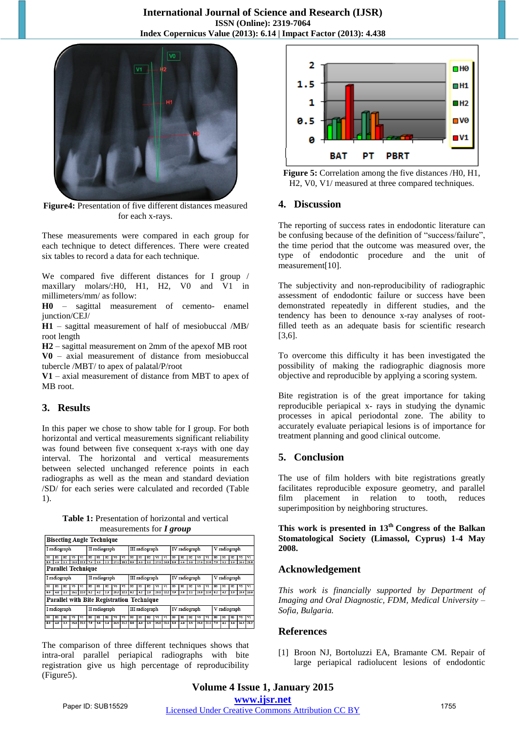

**Figure4:** Presentation of five different distances measured for each x-rays.

These measurements were compared in each group for each technique to detect differences. There were created six tables to record a data for each technique.

We compared five different distances for I group / maxillary molars/:H0, H1, H2, V0 and V1 in millimeters/mm/ as follow:

**H0** – sagittal measurement of cemento- enamel junction/CEJ/

**H1** – sagittal measurement of half of mesiobuccal /MB/ root length

**H2** – sagittal measurement on 2mm of the apexof MB root **V0** – axial measurement of distance from mesiobuccal tubercle /MBT/ to apex of palatal/P/root

**V1** – axial measurement of distance from MBT to apex of MB root.

# **3. Results**

In this paper we chose to show table for I group. For both horizontal and vertical measurements significant reliability was found between five consequent x-rays with one day interval. The horizontal and vertical measurements between selected unchanged reference points in each radiographs as well as the mean and standard deviation /SD/ for each series were calculated and recorded (Table 1).

**Table 1:** Presentation of horizontal and vertical measurements for *I group*

|              | <b>Bisecting Angle Technique</b>          |                               |                |                                          |               |                       |                |                |                                            |                |          |           |                                 |                                       |               |          |                 |                       |                         |              |                 |      |                       |      |
|--------------|-------------------------------------------|-------------------------------|----------------|------------------------------------------|---------------|-----------------------|----------------|----------------|--------------------------------------------|----------------|----------|-----------|---------------------------------|---------------------------------------|---------------|----------|-----------------|-----------------------|-------------------------|--------------|-----------------|------|-----------------------|------|
| I radiograph |                                           |                               |                |                                          | II radiograph |                       |                |                |                                            | III radiograph |          |           |                                 |                                       | IV radiograph |          |                 |                       |                         | V radiograph |                 |      |                       |      |
| HO<br>3.0    | HI<br>49                                  | H2<br>$\overline{\mathbf{z}}$ | V0             | $\overline{\mathbf{v}}$<br>$28.0$ $22.1$ | HO<br>71      | H <sub>1</sub><br>3.5 | H2<br>12.2     | V0             | $\overline{\mathbf{v}}$<br>$27.1$ 18.1 8.5 | HO             | H1<br>40 | H2<br>3.0 | $\overline{\mathbf{v}}$<br>27.3 | $\overline{\mathbf{v}}$<br>$24.0$ 8.6 | HO            | ш<br>4.6 | н2<br>3.0       | V0<br>$27.9$ 21.0 7.9 | $\overline{\mathbf{v}}$ | HO           | HI<br>13.2      | H2   | vo<br>$3.9$ 26.0 21.0 | vı   |
|              | <b>Parallel Technique</b>                 |                               |                |                                          |               |                       |                |                |                                            |                |          |           |                                 |                                       |               |          |                 |                       |                         |              |                 |      |                       |      |
|              | I radiograph                              |                               |                |                                          | II radiograph |                       |                |                | III radiograph                             |                |          |           |                                 | IV radiograph                         |               |          |                 |                       | V radiograph            |              |                 |      |                       |      |
| HO           |                                           |                               |                |                                          | HO            | HI                    | H <sub>2</sub> |                | vı                                         | HO             | H1       | H)        | vo                              | $\mathbf{v}$                          | HO            | ш        |                 |                       |                         | HO           | ш               |      |                       | vı   |
| 8.0          | 4.0                                       | 2.2                           |                | $25.1$ 22.0                              | 8.2           | 4.2                   | 12.3           | 25.3           | 22.1                                       | 8.2            | 4.2      | 2.6       | 25.1                            | 22.2                                  | 7.9           | 3.8      | $\overline{21}$ |                       | $25.0$ $22.0$ $8.2$     |              | 4.2             | 12.5 | $25.0$ 22.0           |      |
|              | Parallel with Bite Registration Technique |                               |                |                                          |               |                       |                |                |                                            |                |          |           |                                 |                                       |               |          |                 |                       |                         |              |                 |      |                       |      |
|              | I radiograph                              |                               |                |                                          | II radiograph |                       |                |                |                                            | III radiograph |          |           |                                 |                                       | IV radiograph |          |                 |                       |                         | V radiograph |                 |      |                       |      |
| HO           | HI <sub>1</sub>                           | H2                            | V <sub>0</sub> | $\overline{\mathbf{v}}$                  | HO            | H1                    | Tю             | $\overline{v}$ | $\overline{\mathbf{v}}$                    | HO             | H1       | H2        | $\overline{\mathbf{v}}$         | $\overline{\mathbf{v}}$               | HO            | H1       | н2              | V0                    | $\overline{\mathbf{v}}$ | HO           | HI <sub>1</sub> | H2   | $\overline{v}$        | V1   |
| 3.0          | 4.0                                       | 2.5                           | 25.0           | 21.5                                     | 79            | 3.9                   | 2.4            | 24.5           | 21.2                                       | 3.0            | 4.0      | 2.5       | 25.0                            | 21.5                                  | 8.0           | 4.0      | 2.5             | 25.0                  | 21.5                    | 79           | 4.1             | 2.6  | 24.5                  | 21.2 |

The comparison of three different techniques shows that intra-oral parallel periapical radiographs with bite registration give us high percentage of reproducibility (Figure5).





# **4. Discussion**

The reporting of success rates in endodontic literature can be confusing because of the definition of "success/failure", the time period that the outcome was measured over, the type of endodontic procedure and the unit of measurement[10].

The subjectivity and non-reproducibility of radiographic assessment of endodontic failure or success have been demonstrated repeatedly in different studies, and the tendency has been to denounce x-ray analyses of rootfilled teeth as an adequate basis for scientific research [3,6].

To overcome this difficulty it has been investigated the possibility of making the radiographic diagnosis more objective and reproducible by applying a scoring system.

Bite registration is of the great importance for taking reproducible periapical x- rays in studying the dynamic processes in apical periodontal zone. The ability to accurately evaluate periapical lesions is of importance for treatment planning and good clinical outcome.

# **5. Conclusion**

The use of film holders with bite registrations greatly facilitates reproducible exposure geometry, and parallel film placement in relation to tooth, reduces superimposition by neighboring structures.

**This work is presented in 13th Congress of the Balkan Stomatological Society (Limassol, Cyprus) 1-4 May 2008.**

# **Acknowledgement**

*This work is financially supported by Department of Imaging and Oral Diagnostic, FDM, Medical University – Sofia, Bulgaria.* 

#### **References**

[1] Broon NJ, Bortoluzzi EA, Bramante CM. Repair of large periapical radiolucent lesions of endodontic